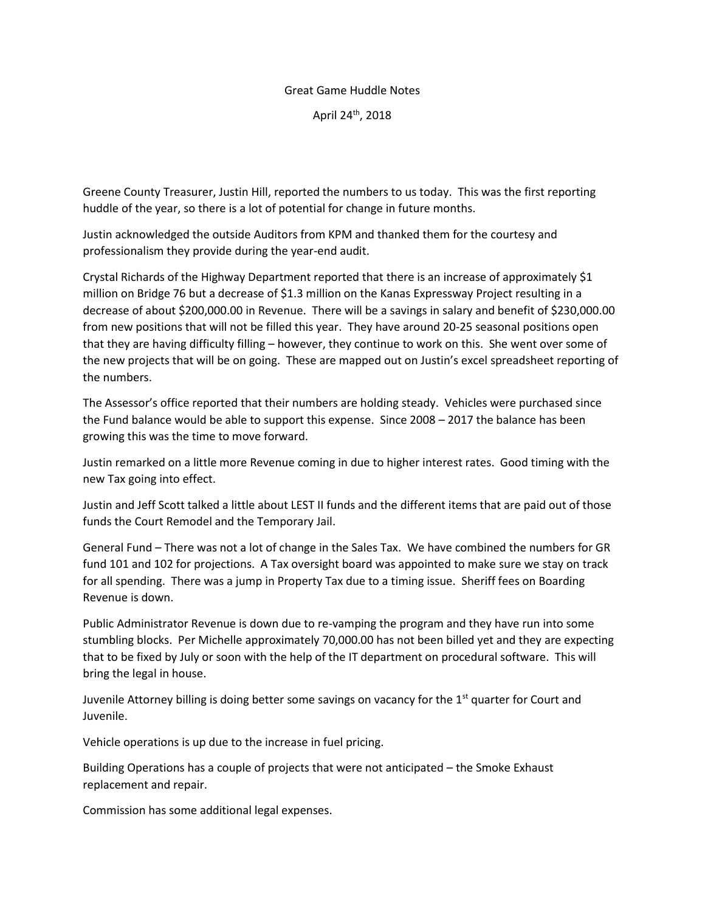## Great Game Huddle Notes

April 24th, 2018

Greene County Treasurer, Justin Hill, reported the numbers to us today. This was the first reporting huddle of the year, so there is a lot of potential for change in future months.

Justin acknowledged the outside Auditors from KPM and thanked them for the courtesy and professionalism they provide during the year-end audit.

Crystal Richards of the Highway Department reported that there is an increase of approximately \$1 million on Bridge 76 but a decrease of \$1.3 million on the Kanas Expressway Project resulting in a decrease of about \$200,000.00 in Revenue. There will be a savings in salary and benefit of \$230,000.00 from new positions that will not be filled this year. They have around 20-25 seasonal positions open that they are having difficulty filling – however, they continue to work on this. She went over some of the new projects that will be on going. These are mapped out on Justin's excel spreadsheet reporting of the numbers.

The Assessor's office reported that their numbers are holding steady. Vehicles were purchased since the Fund balance would be able to support this expense. Since 2008 – 2017 the balance has been growing this was the time to move forward.

Justin remarked on a little more Revenue coming in due to higher interest rates. Good timing with the new Tax going into effect.

Justin and Jeff Scott talked a little about LEST II funds and the different items that are paid out of those funds the Court Remodel and the Temporary Jail.

General Fund – There was not a lot of change in the Sales Tax. We have combined the numbers for GR fund 101 and 102 for projections. A Tax oversight board was appointed to make sure we stay on track for all spending. There was a jump in Property Tax due to a timing issue. Sheriff fees on Boarding Revenue is down.

Public Administrator Revenue is down due to re-vamping the program and they have run into some stumbling blocks. Per Michelle approximately 70,000.00 has not been billed yet and they are expecting that to be fixed by July or soon with the help of the IT department on procedural software. This will bring the legal in house.

Juvenile Attorney billing is doing better some savings on vacancy for the 1<sup>st</sup> quarter for Court and Juvenile.

Vehicle operations is up due to the increase in fuel pricing.

Building Operations has a couple of projects that were not anticipated – the Smoke Exhaust replacement and repair.

Commission has some additional legal expenses.